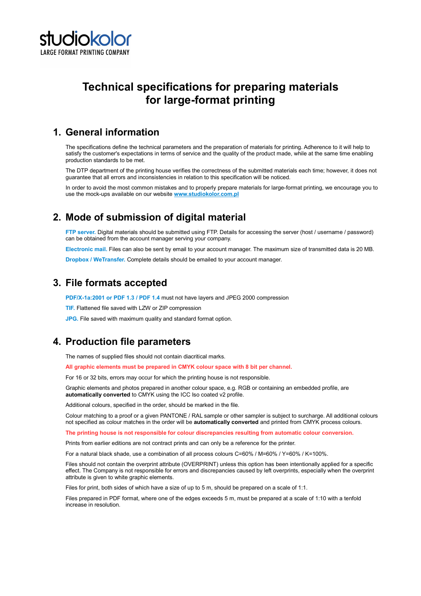

# Technical specifications for preparing materials for large-format printing

#### 1. General information

The specifications define the technical parameters and the preparation of materials for printing. Adherence to it will help to satisfy the customer's expectations in terms of service and the quality of the product made, while at the same time enabling production standards to be met.

The DTP department of the printing house verifies the correctness of the submitted materials each time; however, it does not guarantee that all errors and inconsistencies in relation to this specification will be noticed.

In order to avoid the most common mistakes and to properly prepare materials for large-format printing, we encourage you to use the mock-ups available on our website www.studiokolor.com.pl

## 2. Mode of submission of digital material

FTP server. Digital materials should be submitted using FTP. Details for accessing the server (host / username / password) can be obtained from the account manager serving your company.

Electronic mail. Files can also be sent by email to your account manager. The maximum size of transmitted data is 20 MB.

**Dropbox / WeTransfer.** Complete details should be emailed to your account manager.

### 3. File formats accepted

PDF/X-1a:2001 or PDF 1.3 / PDF 1.4 must not have layers and JPEG 2000 compression

TIF. Flattened file saved with LZW or ZIP compression

JPG. File saved with maximum quality and standard format option.

## 4. Production file parameters

The names of supplied files should not contain diacritical marks.

All graphic elements must be prepared in CMYK colour space with 8 bit per channel.

For 16 or 32 bits, errors may occur for which the printing house is not responsible.

Graphic elements and photos prepared in another colour space, e.g. RGB or containing an embedded profile, are automatically converted to CMYK using the ICC Iso coated v2 profile.

Additional colours, specified in the order, should be marked in the file.

Colour matching to a proof or a given PANTONE / RAL sample or other sampler is subject to surcharge. All additional colours not specified as colour matches in the order will be automatically converted and printed from CMYK process colours.

The printing house is not responsible for colour discrepancies resulting from automatic colour conversion.

Prints from earlier editions are not contract prints and can only be a reference for the printer.

For a natural black shade, use a combination of all process colours C=60% / M=60% / Y=60% / K=100%.

Files should not contain the overprint attribute (OVERPRINT) unless this option has been intentionally applied for a specific effect. The Company is not responsible for errors and discrepancies caused by left overprints, especially when the overprint attribute is given to white graphic elements.

Files for print, both sides of which have a size of up to 5 m, should be prepared on a scale of 1:1.

Files prepared in PDF format, where one of the edges exceeds 5 m, must be prepared at a scale of 1:10 with a tenfold increase in resolution.